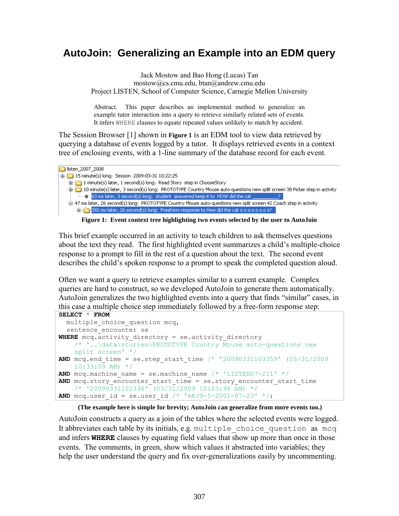## **AutoJoin: Generalizing an Example into an EDM query**

Jack Mostow and Bao Hong (Lucas) Tan mostow@cs.cmu.edu, btan@andrew.cmu.edu Project LISTEN, School of Computer Science, Carnegie Mellon University

Abstract. This paper describes an implemented method to generalize an example tutor interaction into a query to retrieve similarly related sets of events. It infers WHERE clauses to equate repeated values unlikely to match by accident.

The Session Browser [1] shown in **Figure 1** is an EDM tool to view data retrieved by querying a database of events logged by a tutor. It displays retrieved events in a context tree of enclosing events, with a 1-line summary of the database record for each event.

| listen 2007 2008                                                                                                                                                                                                              |
|-------------------------------------------------------------------------------------------------------------------------------------------------------------------------------------------------------------------------------|
| $\boxed{1.4}$ 15 minute(s) long: Session 2009-03-31 10:22:25                                                                                                                                                                  |
| 1 minute(s) later, 1 second(s) long: Read Story step in ChooseStory                                                                                                                                                           |
| 10 minute(s) later, 3 second(s) long: PROTOTYPE Country Mouse auto-questions new split screen 38 Picker step in activity                                                                                                      |
|                                                                                                                                                                                                                               |
| 白…47 ms later, 26 second(s) long: PROTOTYPE Country Mouse auto-questions new split screen 42 Coach step in activity                                                                                                           |
| in 392 ms later, 26 second(s) long: Freeform response to How did the cat o o o o o o o o?                                                                                                                                     |
| The compact of the Compact of the Line of the Line of the Compact of the Compact of the Compact of the Line of the Line of the Line of the Compact of the Compact of the Compact of the Compact of the Compact of the Compact |

**Figure 1: Event context tree highlighting two events selected by the user to AutoJoin**

This brief example occurred in an activity to teach children to ask themselves questions about the text they read. The first highlighted event summarizes a child's multiple-choice response to a prompt to fill in the rest of a question about the text. The second event describes the child's spoken response to a prompt to speak the completed question aloud.

Often we want a query to retrieve examples similar to a current example. Complex queries are hard to construct, so we developed AutoJoin to generate them automatically. AutoJoin generalizes the two highlighted events into a query that finds "similar" cases, in this case a multiple choice step immediately followed by a free-form response step:

```
SELECT * FROM
   multiple_choice_question mcq,
  sentence encounter se
WHERE mcq.activity directory = se.activity directory
     /* '..\data\stories\PROTOTYPE Country Mouse auto-questions new 
     split screen' */
AND mcq.end time = se.step start time /* '20090331103359' (03/31/2009)
    10:33:59 AM) */
AND mcg.machine name = se.machine name /* 'LISTEN07-211' */AND mcq.story encounter start time = se.story encounter start time
    \frac{\sqrt{7}}{120090331102336}, (03/31/2009 10:23:36 AM) */
AND mcq.user id = se.user id /* 'mKJ9-5-2001-07-23' */;
```
## **(The example here is simple for brevity; AutoJoin can generalize from more events too.)**

AutoJoin constructs a query as a join of the tables where the selected events were logged. It abbreviates each table by its initials, e.g. multiple choice question as mcq and infers **WHERE** clauses by equating field values that show up more than once in those events. The comments, in green, show which values it abstracted into variables; they help the user understand the query and fix over-generalizations easily by uncommenting.